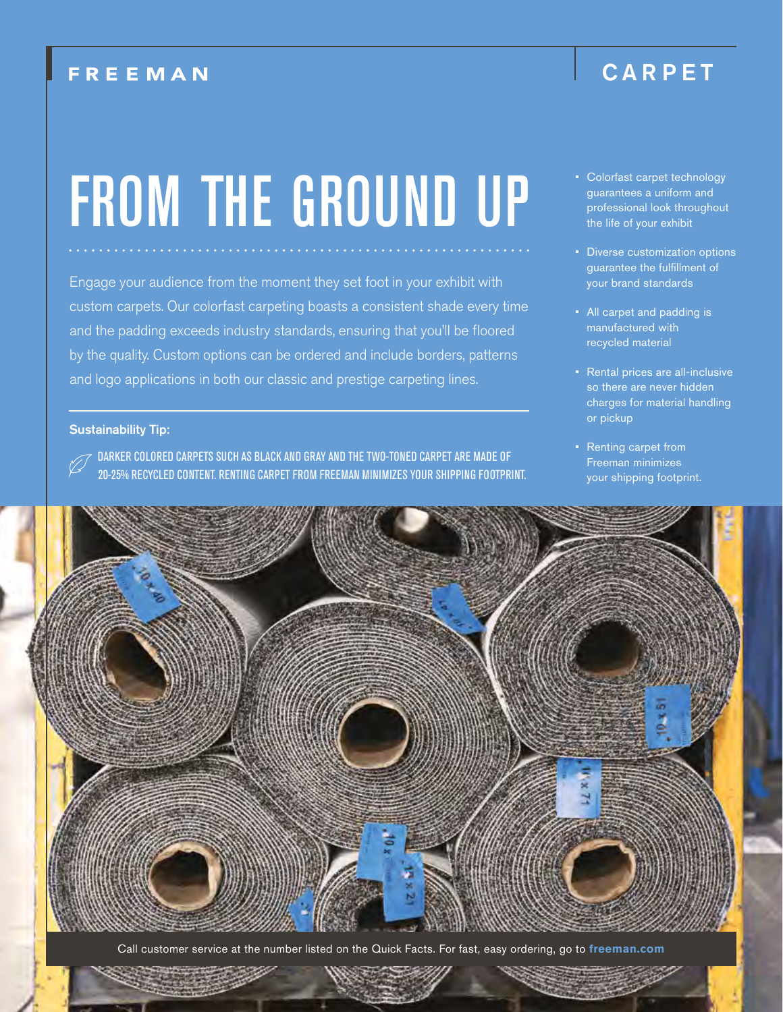### **FREEMAN**

### CARPET

# FROM THE GROUND UP

Engage your audience from the moment they set foot in your exhibit with custom carpets. Our colorfast carpeting boasts a consistent shade every time and the padding exceeds industry standards, ensuring that you'll be floored by the quality. Custom options can be ordered and include borders, patterns and logo applications in both our classic and prestige carpeting lines.

#### Sustainability Tip:

DARKER COLORED CARPETS SUCH AS BLACK AND GRAY AND THE TWO-TONED CARPET ARE MADE OF 20-25% RECYCLED CONTENT. RENTING CARPET FROM FREEMAN MINIMIZES YOUR SHIPPING FOOTPRINT.

- Colorfast carpet technology guarantees a uniform and professional look throughout the life of your exhibit
- Diverse customization options guarantee the fulfillment of your brand standards
- All carpet and padding is manufactured with recycled material
- Rental prices are all-inclusive so there are never hidden charges for material handling or pickup
- Renting carpet from Freeman minimizes your shipping footprint.



Call customer service at the number listed on the Quick Facts. For fast, easy ordering, go to **freeman.com**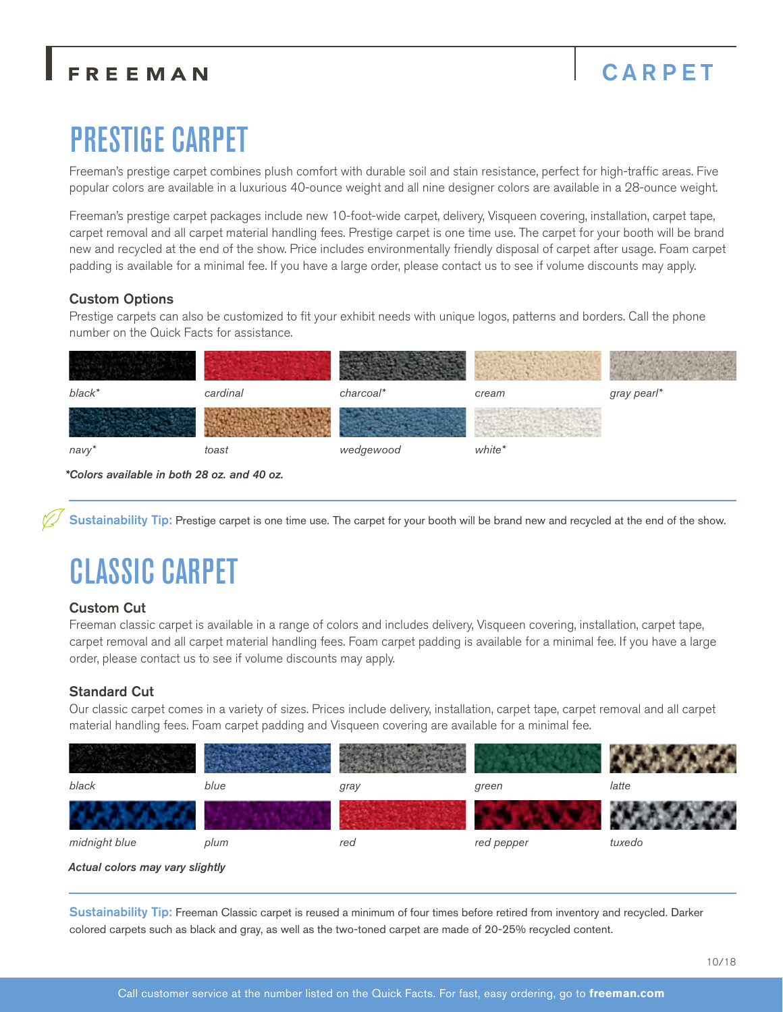### FREEMAN

## CARPET

# PRESTIGE CARPET

Freeman's prestige carpet combines plush comfort with durable soil and stain resistance, perfect for high-traffic areas. Five popular colors are available in a luxurious 40-ounce weight and all nine designer colors are available in a 28-ounce weight.

Freeman's prestige carpet packages include new 10-foot-wide carpet, delivery, Visqueen covering, installation, carpet tape, carpet removal and all carpet material handling fees. Prestige carpet is one time use. The carpet for your booth will be brand new and recycled at the end of the show. Price includes environmentally friendly disposal of carpet after usage. Foam carpet padding is available for a minimal fee. If you have a large order, please contact us to see if volume discounts may apply.

### Custom Options

Prestige carpets can also be customized to fit your exhibit needs with unique logos, patterns and borders. Call the phone number on the Quick Facts for assistance.

| black* | cardinal | charcoal* | cream  | gray pearl* |
|--------|----------|-----------|--------|-------------|
|        |          |           |        |             |
| navy*  | toast    | wedgewood | white* |             |

*\*Colors available in both 28 oz. and 40 oz.*

Sustainability Tip: Prestige carpet is one time use. The carpet for your booth will be brand new and recycled at the end of the show.

# CLASSIC CARPET

### Custom Cut

Freeman classic carpet is available in a range of colors and includes delivery, Visqueen covering, installation, carpet tape, carpet removal and all carpet material handling fees. Foam carpet padding is available for a minimal fee. If you have a large order, please contact us to see if volume discounts may apply.

### Standard Cut

Our classic carpet comes in a variety of sizes. Prices include delivery, installation, carpet tape, carpet removal and all carpet material handling fees. Foam carpet padding and Visqueen covering are available for a minimal fee.



*Actual colors may vary slightly*

Sustainability Tip: Freeman Classic carpet is reused a minimum of four times before retired from inventory and recycled. Darker colored carpets such as black and gray, as well as the two-toned carpet are made of 20-25% recycled content.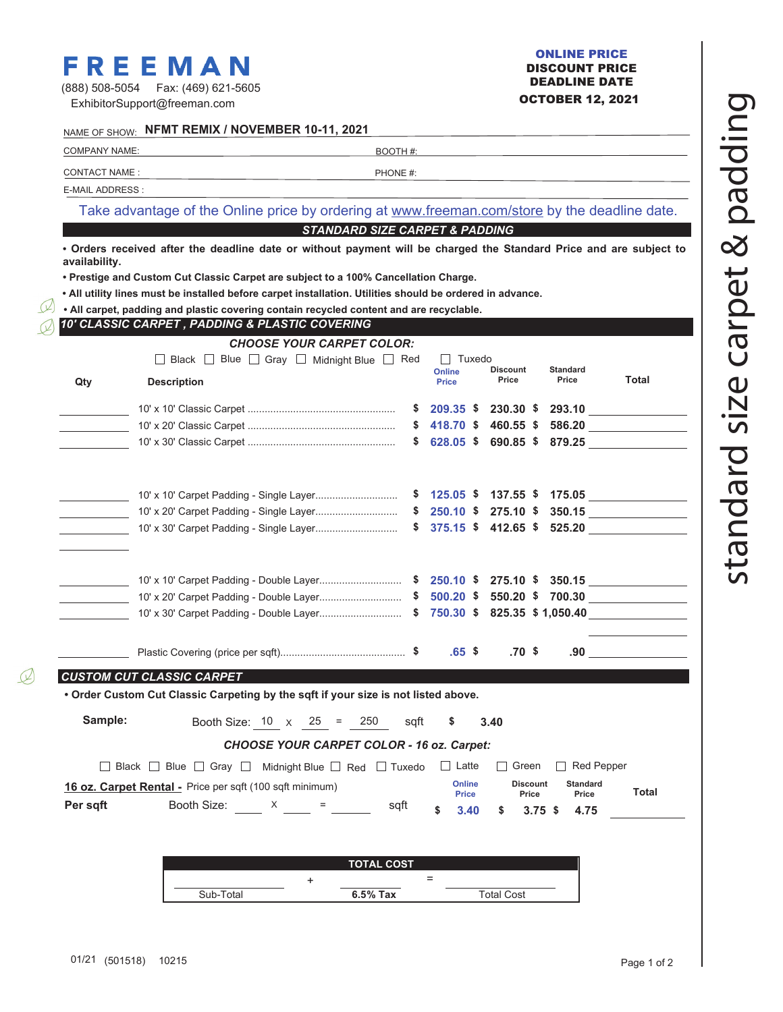# **FREEMAN** ONLINE PRICE<br>
SPREEMAN DISCOUNT PRICE<br>
DEADLINE DATE

| (888) 508-5054 | Fax: (469) 621-5605          |
|----------------|------------------------------|
|                | ExhibitorSupport@freeman.com |

### OCTOBER 12, 2021 ONLINE PRICE DISCOUNT PRICE

|                      | NAME OF SHOW: NFMT REMIX / NOVEMBER 10-11, 2021                                                                    |                                           |                        |                          |                               |                                                                        |
|----------------------|--------------------------------------------------------------------------------------------------------------------|-------------------------------------------|------------------------|--------------------------|-------------------------------|------------------------------------------------------------------------|
| <b>COMPANY NAME:</b> |                                                                                                                    | BOOTH #:                                  |                        |                          |                               |                                                                        |
| <b>CONTACT NAME:</b> |                                                                                                                    | PHONE #:                                  |                        |                          |                               |                                                                        |
| E-MAIL ADDRESS :     |                                                                                                                    |                                           |                        |                          |                               |                                                                        |
|                      | Take advantage of the Online price by ordering at www.freeman.com/store by the deadline date.                      |                                           |                        |                          |                               |                                                                        |
|                      |                                                                                                                    | <b>STANDARD SIZE CARPET &amp; PADDING</b> |                        |                          |                               |                                                                        |
|                      | . Orders received after the deadline date or without payment will be charged the Standard Price and are subject to |                                           |                        |                          |                               |                                                                        |
| availability.        | . Prestige and Custom Cut Classic Carpet are subject to a 100% Cancellation Charge.                                |                                           |                        |                          |                               |                                                                        |
|                      | . All utility lines must be installed before carpet installation. Utilities should be ordered in advance.          |                                           |                        |                          |                               |                                                                        |
|                      | . All carpet, padding and plastic covering contain recycled content and are recyclable.                            |                                           |                        |                          |                               |                                                                        |
|                      | 10' CLASSIC CARPET, PADDING & PLASTIC COVERING                                                                     |                                           |                        |                          |                               |                                                                        |
|                      | <b>CHOOSE YOUR CARPET COLOR:</b>                                                                                   |                                           |                        |                          |                               |                                                                        |
|                      | □ Black □ Blue □ Gray □ Midnight Blue □ Red                                                                        |                                           | II Tuxedo              | <b>Discount</b>          | <b>Standard</b>               |                                                                        |
| Qty                  | <b>Description</b>                                                                                                 |                                           | Online<br><b>Price</b> | Price                    | Price                         | Total                                                                  |
|                      |                                                                                                                    |                                           |                        |                          | \$209.35 \$230.30 \$293.10    |                                                                        |
|                      |                                                                                                                    |                                           | $$418.70$ \$           | 460.55 \$                |                               | 586.20                                                                 |
|                      |                                                                                                                    | \$                                        | 628.05 \$              | 690.85 \$                |                               |                                                                        |
|                      |                                                                                                                    |                                           |                        |                          |                               |                                                                        |
|                      |                                                                                                                    |                                           |                        |                          | $$125.05$ \$ 137.55 \$ 175.05 |                                                                        |
|                      |                                                                                                                    |                                           |                        | $275.10$ \$              |                               | 350.15                                                                 |
|                      |                                                                                                                    |                                           | $$375.15$ \$412.65 \$  |                          |                               | $525.20$                                                               |
|                      |                                                                                                                    |                                           |                        |                          |                               |                                                                        |
|                      |                                                                                                                    |                                           | $500.20$ \$            |                          |                               |                                                                        |
|                      |                                                                                                                    |                                           |                        |                          |                               |                                                                        |
|                      |                                                                                                                    |                                           | $.65$ \$               | .70 \$                   |                               | $.90$ $\qquad \qquad \qquad \qquad \qquad \qquad \qquad \qquad \qquad$ |
|                      | <b>CUSTOM CUT CLASSIC CARPET</b>                                                                                   |                                           |                        |                          |                               |                                                                        |
|                      | • Order Custom Cut Classic Carpeting by the sqft if your size is not listed above.                                 |                                           |                        |                          |                               |                                                                        |
| Sample:              | Booth Size: $10 \times 25 =$                                                                                       | 250<br>sqft                               | \$                     | 3.40                     |                               |                                                                        |
|                      | <b>CHOOSE YOUR CARPET COLOR - 16 oz. Carpet:</b>                                                                   |                                           |                        |                          |                               |                                                                        |
|                      | □ Black □ Blue □ Gray □ Midnight Blue □ Red □ Tuxedo                                                               |                                           | $\Box$ Latte           | $\Box$ Green             | $\Box$ Red Pepper             |                                                                        |
|                      | 16 oz. Carpet Rental - Price per sqft (100 sqft minimum)                                                           |                                           | Online<br><b>Price</b> | <b>Discount</b><br>Price | <b>Standard</b><br>Price      | <b>Total</b>                                                           |
| Per sqft             | Booth Size: X =                                                                                                    | sqft                                      | 3.40                   | S                        | $3.75$ \$<br>4.75             |                                                                        |
|                      |                                                                                                                    |                                           |                        |                          |                               |                                                                        |
|                      |                                                                                                                    | <b>TOTAL COST</b>                         |                        |                          |                               |                                                                        |
|                      | +                                                                                                                  |                                           | $\qquad \qquad =$      |                          |                               |                                                                        |
|                      | Sub-Total                                                                                                          | 6.5% Tax                                  |                        | <b>Total Cost</b>        |                               |                                                                        |

 $\mathcal{Q}$